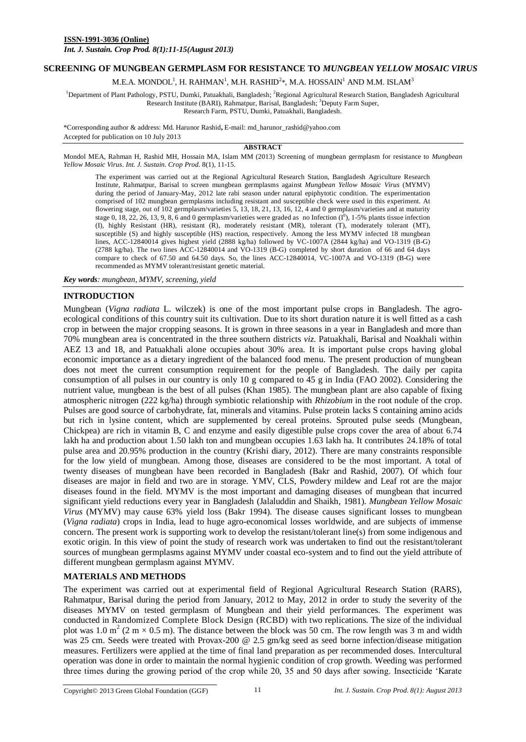*Int. J. Sustain. Crop Prod. 8(1):11-15(August 2013)*

# **SCREENING OF MUNGBEAN GERMPLASM FOR RESISTANCE TO** *MUNGBEAN YELLOW MOSAIC VIRUS*

M.E.A. MONDOL $^1$ , H. RAHMAN $^1$ , M.H. RASHID $^2*$ , M.A. HOSSAIN $^1$  AND M.M. ISLAM $^3$ 

<sup>1</sup>Department of Plant Pathology, PSTU, Dumki, Patuakhali, Bangladesh; <sup>2</sup>Regional Agricultural Research Station, Bangladesh Agricultural Research Institute (BARI), Rahmatpur, Barisal, Bangladesh; <sup>3</sup>Deputy Farm Super,

Research Farm, PSTU, Dumki, Patuakhali, Bangladesh.

\*Corresponding author & address: Md. Harunor Rashid**,** E-mail: md\_harunor\_rashid@yahoo.com Accepted for publication on 10 July 2013

#### **ABSTRACT**

Mondol MEA, Rahman H, Rashid MH, Hossain MA, Islam MM (2013) Screening of mungbean germplasm for resistance to *Mungbean Yellow Mosaic Virus*. *Int. J. Sustain. Crop Prod.* 8(1), 11-15.

The experiment was carried out at the Regional Agricultural Research Station, Bangladesh Agriculture Research Institute, Rahmatpur, Barisal to screen mungbean germplasms against *Mungbean Yellow Mosaic Virus* (MYMV) during the period of January-May, 2012 late rabi season under natural epiphytotic condition. The experimentation comprised of 102 mungbean germplasms including resistant and susceptible check were used in this experiment. At flowering stage, out of 102 germplasm/varieties 5, 13, 18, 21, 13, 16, 12, 4 and 0 germplasm/varieties and at maturity stage 0, 18, 22, 26, 13, 9, 8, 6 and 0 germplasm/varieties were graded as no Infection  $(I^0)$ , 1-5% plants tissue infection (I), highly Resistant (HR), resistant (R), moderately resistant (MR), tolerant (T), moderately tolerant (MT), susceptible (S) and highly susceptible (HS) reaction, respectively. Among the less MYMV infected 18 mungbean lines, ACC-12840014 gives highest yield (2888 kg/ha) followed by VC-1007A (2844 kg/ha) and VO-1319 (B-G) (2788 kg/ha). The two lines ACC-12840014 and VO-1319 (B-G) completed by short duration of 66 and 64 days compare to check of 67.50 and 64.50 days. So, the lines ACC-12840014, VC-1007A and VO-1319 (B-G) were recommended as MYMV tolerant/resistant genetic material.

*Key words: mungbean, MYMV, screening, yield*

### **INTRODUCTION**

Mungbean (*Vigna radiata* L. wilczek) is one of the most important pulse crops in Bangladesh*.* The agroecological conditions of this country suit its cultivation. Due to its short duration nature it is well fitted as a cash crop in between the major cropping seasons. It is grown in three seasons in a year in Bangladesh and more than 70% mungbean area is concentrated in the three southern districts *viz*. Patuakhali, Barisal and Noakhali within AEZ 13 and 18, and Patuakhali alone occupies about 30% area. It is important pulse crops having global economic importance as a dietary ingredient of the balanced food menu. The present production of mungbean does not meet the current consumption requirement for the people of Bangladesh. The daily per capita consumption of all pulses in our country is only 10 g compared to 45 g in India (FAO 2002). Considering the nutrient value, mungbean is the best of all pulses (Khan 1985). The mungbean plant are also capable of fixing atmospheric nitrogen (222 kg/ha) through symbiotic relationship with *Rhizobium* in the root nodule of the crop. Pulses are good source of carbohydrate, fat, minerals and vitamins. Pulse protein lacks S containing amino acids but rich in lysine content, which are supplemented by cereal proteins. Sprouted pulse seeds (Mungbean, Chickpea) are rich in vitamin B, C and enzyme and easily digestible pulse crops cover the area of about 6.74 lakh ha and production about 1.50 lakh ton and mungbean occupies 1.63 lakh ha. It contributes 24.18% of total pulse area and 20.95% production in the country (Krishi diary, 2012). There are many constraints responsible for the low yield of mungbean. Among those, diseases are considered to be the most important. A total of twenty diseases of mungbean have been recorded in Bangladesh (Bakr and Rashid, 2007). Of which four diseases are major in field and two are in storage. YMV, CLS, Powdery mildew and Leaf rot are the major diseases found in the field. MYMV is the most important and damaging diseases of mungbean that incurred significant yield reductions every year in Bangladesh (Jalaluddin and Shaikh, 1981). *Mungbean Yellow Mosaic Virus* (MYMV) may cause 63% yield loss (Bakr 1994). The disease causes significant losses to mungbean (*Vigna radiata*) crops in India, lead to huge agro-economical losses worldwide, and are subjects of immense concern. The present work is supporting work to develop the resistant/tolerant line(s) from some indigenous and exotic origin. In this view of point the study of research work was undertaken to find out the resistant/tolerant sources of mungbean germplasms against MYMV under coastal eco-system and to find out the yield attribute of different mungbean germplasm against MYMV.

### **MATERIALS AND METHODS**

The experiment was carried out at experimental field of Regional Agricultural Research Station (RARS), Rahmatpur, Barisal during the period from January, 2012 to May, 2012 in order to study the severity of the diseases MYMV on tested germplasm of Mungbean and their yield performances. The experiment was conducted in Randomized Complete Block Design (RCBD) with two replications. The size of the individual plot was 1.0 m<sup>2</sup> (2 m  $\times$  0.5 m). The distance between the block was 50 cm. The row length was 3 m and width was 25 cm. Seeds were treated with Provax-200 @ 2.5 gm/kg seed as seed borne infection/disease mitigation measures. Fertilizers were applied at the time of final land preparation as per recommended doses. Intercultural operation was done in order to maintain the normal hygienic condition of crop growth. Weeding was performed three times during the growing period of the crop while 20, 35 and 50 days after sowing. Insecticide 'Karate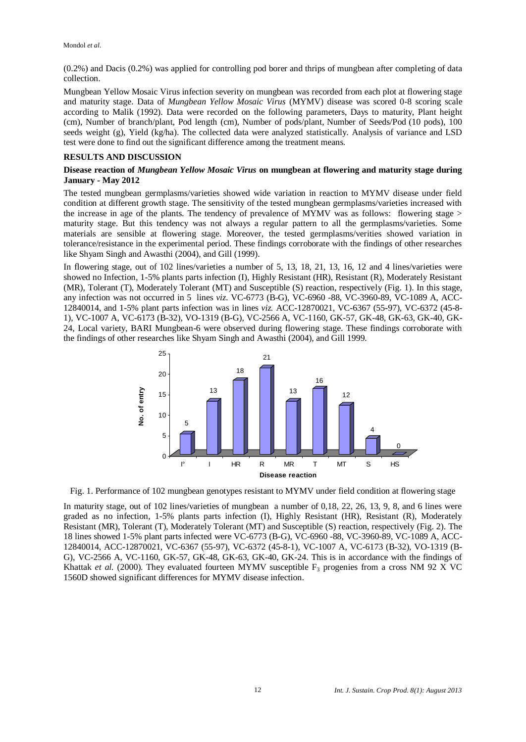(0.2%) and Dacis (0.2%) was applied for controlling pod borer and thrips of mungbean after completing of data collection.

Mungbean Yellow Mosaic Virus infection severity on mungbean was recorded from each plot at flowering stage and maturity stage. Data of *Mungbean Yellow Mosaic Virus* (MYMV) disease was scored 0-8 scoring scale according to Malik (1992). Data were recorded on the following parameters, Days to maturity, Plant height (cm), Number of branch/plant, Pod length (cm), Number of pods/plant, Number of Seeds/Pod (10 pods), 100 seeds weight (g), Yield (kg/ha). The collected data were analyzed statistically. Analysis of variance and LSD test were done to find out the significant difference among the treatment means.

# **RESULTS AND DISCUSSION**

# **Disease reaction of** *Mungbean Yellow Mosaic Virus* **on mungbean at flowering and maturity stage during January - May 2012**

The tested mungbean germplasms/varieties showed wide variation in reaction to MYMV disease under field condition at different growth stage. The sensitivity of the tested mungbean germplasms/varieties increased with the increase in age of the plants. The tendency of prevalence of MYMV was as follows: flowering stage > maturity stage. But this tendency was not always a regular pattern to all the germplasms/varieties. Some materials are sensible at flowering stage. Moreover, the tested germplasms/verities showed variation in tolerance/resistance in the experimental period. These findings corroborate with the findings of other researches like Shyam Singh and Awasthi (2004), and Gill (1999).

In flowering stage, out of 102 lines/varieties a number of 5, 13, 18, 21, 13, 16, 12 and 4 lines/varieties were showed no Infection, 1-5% plants parts infection (I), Highly Resistant (HR), Resistant (R), Moderately Resistant (MR), Tolerant (T), Moderately Tolerant (MT) and Susceptible (S) reaction, respectively (Fig. 1). In this stage, any infection was not occurred in 5 lines *viz*. VC-6773 (B-G), VC-6960 -88, VC-3960-89, VC-1089 A, ACC-12840014, and 1-5% plant parts infection was in lines *viz.* ACC-12870021, VC-6367 (55-97), VC-6372 (45-8- 1), VC-1007 A, VC-6173 (B-32), VO-1319 (B-G), VC-2566 A, VC-1160, GK-57, GK-48, GK-63, GK-40, GK-24, Local variety, BARI Mungbean-6 were observed during flowering stage. These findings corroborate with the findings of other researches like Shyam Singh and Awasthi (2004), and Gill 1999.



Fig. 1. Performance of 102 mungbean genotypes resistant to MYMV under field condition at flowering stage

In maturity stage, out of 102 lines/varieties of mungbean a number of 0,18, 22, 26, 13, 9, 8, and 6 lines were graded as no infection, 1-5% plants parts infection (I), Highly Resistant (HR), Resistant (R), Moderately Resistant (MR), Tolerant (T), Moderately Tolerant (MT) and Susceptible (S) reaction, respectively (Fig. 2). The 18 lines showed 1-5% plant parts infected were VC-6773 (B-G), VC-6960 -88, VC-3960-89, VC-1089 A, ACC-12840014, ACC-12870021, VC-6367 (55-97), VC-6372 (45-8-1), VC-1007 A, VC-6173 (B-32), VO-1319 (B-G), VC-2566 A, VC-1160, GK-57, GK-48, GK-63, GK-40, GK-24. This is in accordance with the findings of Khattak *et al.* (2000). They evaluated fourteen MYMV susceptible  $F_3$  progenies from a cross NM 92 X VC 1560D showed significant differences for MYMV disease infection.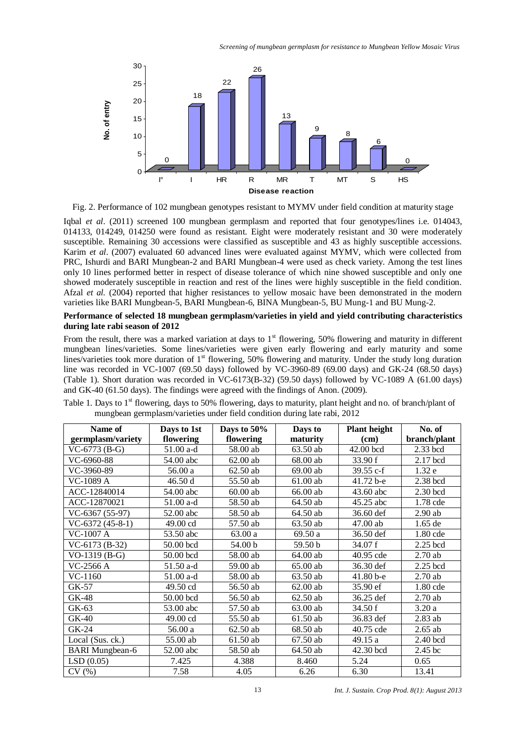

Fig. 2. Performance of 102 mungbean genotypes resistant to MYMV under field condition at maturity stage

Iqbal *et al*. (2011) screened 100 mungbean germplasm and reported that four genotypes/lines i.e. 014043, 014133, 014249, 014250 were found as resistant. Eight were moderately resistant and 30 were moderately susceptible. Remaining 30 accessions were classified as susceptible and 43 as highly susceptible accessions. Karim *et al*. (2007) evaluated 60 advanced lines were evaluated against MYMV, which were collected from PRC, Ishurdi and BARI Mungbean-2 and BARI Mungbean-4 were used as check variety. Among the test lines only 10 lines performed better in respect of disease tolerance of which nine showed susceptible and only one showed moderately susceptible in reaction and rest of the lines were highly susceptible in the field condition. Afzal *et al.* (2004) reported that higher resistances to yellow mosaic have been demonstrated in the modern varieties like BARI Mungbean-5, BARI Mungbean-6, BINA Mungbean-5, BU Mung-1 and BU Mung-2.

# **Performance of selected 18 mungbean germplasm/varieties in yield and yield contributing characteristics during late rabi season of 2012**

From the result, there was a marked variation at days to  $1<sup>st</sup>$  flowering, 50% flowering and maturity in different mungbean lines/varieties. Some lines/varieties were given early flowering and early maturity and some lines/varieties took more duration of 1<sup>st</sup> flowering, 50% flowering and maturity. Under the study long duration line was recorded in VC-1007 (69.50 days) followed by VC-3960-89 (69.00 days) and GK-24 (68.50 days) (Table 1). Short duration was recorded in VC-6173(B-32) (59.50 days) followed by VC-1089 A (61.00 days) and GK-40 (61.50 days). The findings were agreed with the findings of Anon. (2009).

| Name of                | Days to 1st | Days to 50% | Days to    | <b>Plant height</b> | No. of       |
|------------------------|-------------|-------------|------------|---------------------|--------------|
| germplasm/variety      | flowering   | flowering   | maturity   | (cm)                | branch/plant |
| $VC-6773$ (B-G)        | 51.00 a-d   | 58.00 ab    | 63.50 ab   | 42.00 bcd           | 2.33 bcd     |
| VC-6960-88             | 54.00 abc   | $62.00$ ab  | 68.00 ab   | 33.90 f             | 2.17 bcd     |
| VC-3960-89             | 56.00 a     | $62.50$ ab  | 69.00 ab   | $39.55$ c-f         | 1.32e        |
| VC-1089 A              | 46.50 d     | 55.50 ab    | 61.00 ab   | 41.72 b-e           | $2.38$ bcd   |
| ACC-12840014           | 54.00 abc   | $60.00$ ab  | 66.00 ab   | 43.60 abc           | 2.30 bcd     |
| ACC-12870021           | 51.00 a-d   | 58.50 ab    | 64.50 ab   | 45.25 abc           | 1.78 cde     |
| VC-6367 (55-97)        | 52.00 abc   | 58.50 ab    | 64.50 ab   | 36.60 def           | $2.90$ ab    |
| $VC-6372(45-8-1)$      | 49.00 cd    | 57.50 ab    | 63.50 ab   | 47.00 ab            | 1.65 de      |
| VC-1007 A              | 53.50 abc   | 63.00 a     | 69.50 a    | 36.50 def           | 1.80 cde     |
| $VC-6173(B-32)$        | 50.00 bcd   | 54.00 b     | 59.50 b    | 34.07 f             | $2.25$ bcd   |
| $VO-1319$ (B-G)        | 50.00 bcd   | 58.00 ab    | 64.00 ab   | 40.95 cde           | 2.70ab       |
| VC-2566 A              | 51.50 a-d   | 59.00 ab    | 65.00 ab   | 36.30 def           | $2.25$ bcd   |
| VC-1160                | 51.00 a-d   | 58.00 ab    | 63.50 ab   | 41.80 b-e           | 2.70ab       |
| GK-57                  | 49.50 cd    | 56.50 ab    | $62.00$ ab | 35.90 ef            | 1.80 cde     |
| GK-48                  | 50.00 bcd   | 56.50 ab    | 62.50 ab   | 36.25 def           | $2.70$ ab    |
| GK-63                  | 53.00 abc   | 57.50 ab    | 63.00 ab   | 34.50 f             | 3.20a        |
| GK-40                  | 49.00 cd    | 55.50 ab    | 61.50 ab   | 36.83 def           | $2.83$ ab    |
| GK-24                  | 56.00 a     | 62.50 ab    | 68.50 ab   | 40.75 cde           | $2.65$ ab    |
| Local (Sus. ck.)       | 55.00 ab    | 61.50 ab    | 67.50 ab   | 49.15 a             | 2.40 bcd     |
| <b>BARI</b> Mungbean-6 | 52.00 abc   | 58.50 ab    | 64.50 ab   | 42.30 bcd           | 2.45 bc      |
| LSD(0.05)              | 7.425       | 4.388       | 8.460      | 5.24                | 0.65         |
| CV(%)                  | 7.58        | 4.05        | 6.26       | 6.30                | 13.41        |

Table 1. Days to 1<sup>st</sup> flowering, days to 50% flowering, days to maturity, plant height and no. of branch/plant of mungbean germplasm/varieties under field condition during late rabi, 2012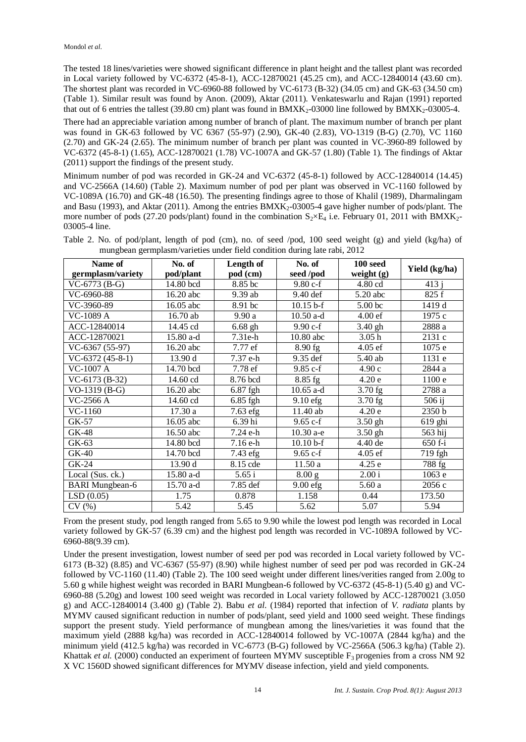The tested 18 lines/varieties were showed significant difference in plant height and the tallest plant was recorded in Local variety followed by VC-6372 (45-8-1), ACC-12870021 (45.25 cm), and ACC-12840014 (43.60 cm). The shortest plant was recorded in VC-6960-88 followed by VC-6173 (B-32) (34.05 cm) and GK-63 (34.50 cm) (Table 1). Similar result was found by Anon. (2009), Aktar (2011). Venkateswarlu and Rajan (1991) reported that out of 6 entries the tallest (39.80 cm) plant was found in  $BMXK<sub>2</sub>$ -03000 line followed by  $BMXK<sub>2</sub>$ -03005-4.

There had an appreciable variation among number of branch of plant. The maximum number of branch per plant was found in GK-63 followed by VC 6367 (55-97) (2.90), GK-40 (2.83), VO-1319 (B-G) (2.70), VC 1160 (2.70) and GK-24 (2.65). The minimum number of branch per plant was counted in VC-3960-89 followed by VC-6372 (45-8-1) (1.65), ACC-12870021 (1.78) VC-1007A and GK-57 (1.80) (Table 1). The findings of Aktar (2011) support the findings of the present study.

Minimum number of pod was recorded in GK-24 and VC-6372 (45-8-1) followed by ACC-12840014 (14.45) and VC-2566A (14.60) (Table 2). Maximum number of pod per plant was observed in VC-1160 followed by VC-1089A (16.70) and GK-48 (16.50). The presenting findings agree to those of Khalil (1989), Dharmalingam and Basu (1993), and Aktar (2011). Among the entries BMXK<sub>2</sub>-03005-4 gave higher number of pods/plant. The more number of pods (27.20 pods/plant) found in the combination  $S_2 \times E_4$  i.e. February 01, 2011 with BMXK<sub>2</sub>-03005-4 line.

| Name of<br>germplasm/variety | No. of<br>pod/plant | Length of<br>pod (cm) | No. of<br>seed /pod | 100 seed<br>weight $(g)$ | Yield (kg/ha) |
|------------------------------|---------------------|-----------------------|---------------------|--------------------------|---------------|
| $VC-6773$ (B-G)              | 14.80 bcd           | 8.85 bc               | $9.80 c-f$          | 4.80 cd                  | 413j          |
| VC-6960-88                   | 16.20 abc           | 9.39 ab               | 9.40 def            | $5.20$ abc               | 825 f         |
| VC-3960-89                   | 16.05 abc           | 8.91 bc               | $10.15 b-f$         | 5.00 bc                  | 1419 d        |
| VC-1089 A                    | 16.70 ab            | 9.90a                 | $10.50$ a-d         | 4.00 ef                  | 1975 с        |
| ACC-12840014                 | 14.45 cd            | $6.68$ gh             | 9.90 c-f            | $3.40$ gh                | 2888 a        |
| ACC-12870021                 | 15.80 a-d           | 7.31e-h               | 10.80 abc           | 3.05 <sub>h</sub>        | 2131 c        |
| $VC-6367(55-97)$             | 16.20 abc           | 7.77 ef               | 8.90 fg             | 4.05 ef                  | 1075 e        |
| $VC-6372(45-8-1)$            | 13.90 d             | 7.37 e-h              | 9.35 def            | 5.40 ab                  | 1131 e        |
| VC-1007 A                    | 14.70 bcd           | 7.78 ef               | $9.85c-f$           | 4.90c                    | 2844 a        |
| $VC-6173(B-32)$              | 14.60 cd            | 8.76 bcd              | 8.85 fg             | 4.20e                    | 1100 e        |
| $VO-1319(B-G)$               | 16.20 abc           | 6.87 fgh              | $10.65$ a-d         | $3.70$ fg                | 2788 a        |
| VC-2566 A                    | 14.60 cd            | 6.85 fgh              | $9.10$ efg          | $3.70$ fg                | $506$ ij      |
| $VC-1160$                    | 17.30 a             | 7.63 efg              | 11.40 ab            | 4.20e                    | 2350 b        |
| GK-57                        | 16.05 abc           | 6.39 hi               | $9.65 c-f$          | $3.50$ gh                | 619 ghi       |
| GK-48                        | 16.50 abc           | 7.24 e-h              | 10.30 a-e           | $3.50$ gh                | 563 hij       |
| GK-63                        | 14.80 bcd           | 7.16 e-h              | $10.10 b-f$         | 4.40 de                  | $650f-i$      |
| GK-40                        | 14.70 bcd           | 7.43 efg              | $9.65 c-f$          | 4.05 ef                  | 719 fgh       |
| GK-24                        | 13.90 d             | 8.15 cde              | 11.50a              | 4.25e                    | 788 fg        |
| Local (Sus. ck.)             | 15.80 a-d           | 5.65i                 | 8.00 g              | 2.00 i                   | 1063 e        |
| <b>BARI</b> Mungbean-6       | 15.70 a-d           | 7.85 def              | $9.00$ efg          | 5.60a                    | 2056 c        |
| LSD(0.05)                    | 1.75                | 0.878                 | 1.158               | 0.44                     | 173.50        |
| CV(%)                        | 5.42                | 5.45                  | 5.62                | 5.07                     | 5.94          |

Table 2. No. of pod/plant, length of pod (cm), no. of seed /pod, 100 seed weight (g) and yield (kg/ha) of mungbean germplasm/varieties under field condition during late rabi, 2012

From the present study, pod length ranged from 5.65 to 9.90 while the lowest pod length was recorded in Local variety followed by GK-57 (6.39 cm) and the highest pod length was recorded in VC-1089A followed by VC-6960-88(9.39 cm).

Under the present investigation, lowest number of seed per pod was recorded in Local variety followed by VC-6173 (B-32) (8.85) and VC-6367 (55-97) (8.90) while highest number of seed per pod was recorded in GK-24 followed by VC-1160 (11.40) (Table 2). The 100 seed weight under different lines/verities ranged from 2.00g to 5.60 g while highest weight was recorded in BARI Mungbean-6 followed by VC-6372 (45-8-1) (5.40 g) and VC-6960-88 (5.20g) and lowest 100 seed weight was recorded in Local variety followed by ACC-12870021 (3.050 g) and ACC-12840014 (3.400 g) (Table 2). Babu *et al*. (1984) reported that infection of *V. radiata* plants by MYMV caused significant reduction in number of pods/plant, seed yield and 1000 seed weight. These findings support the present study. Yield performance of mungbean among the lines/varieties it was found that the maximum yield (2888 kg/ha) was recorded in ACC-12840014 followed by VC-1007A (2844 kg/ha) and the minimum yield (412.5 kg/ha) was recorded in VC-6773 (B-G) followed by VC-2566A (506.3 kg/ha) (Table 2). Khattak *et al.* (2000) conducted an experiment of fourteen MYMV susceptible F<sub>3</sub> progenies from a cross NM 92 X VC 1560D showed significant differences for MYMV disease infection, yield and yield components.